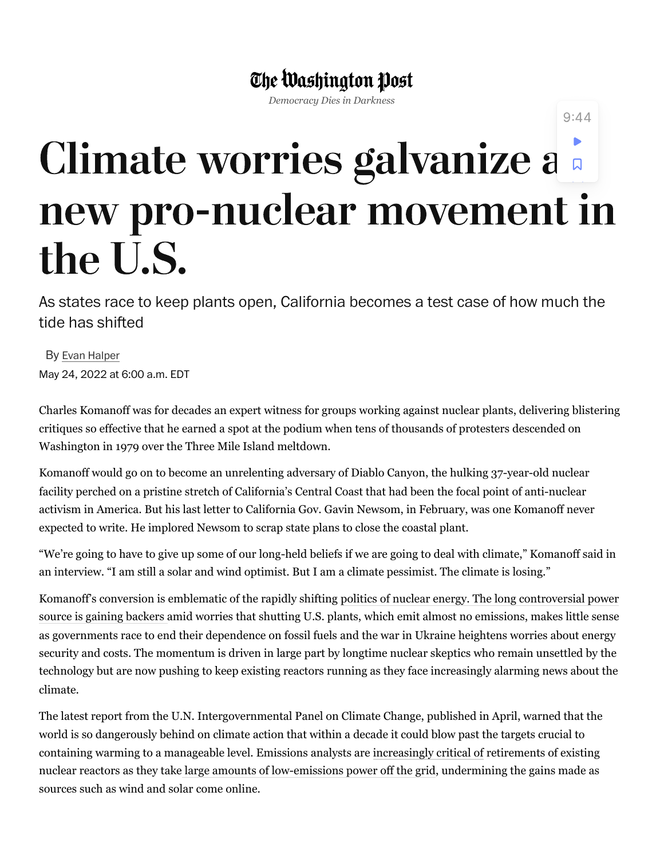## The Washington Post

*Democracy Dies in Darkness*

 $9:44$ 

## Climate worries galvanize a new pro-nuclear movement in the U.S.

As states race to keep plants open, California becomes a test case of how much the tide has shifted

By [Evan Halper](https://www.washingtonpost.com/people/evan-halper/) May 24, 2022 at 6:00 a.m. EDT

Charles Komanoff was for decades an expert witness for groups working against nuclear plants, delivering blistering critiques so effective that he earned a spot at the podium when tens of thousands of protesters descended on Washington in 1979 over the Three Mile Island meltdown.

Komanoff would go on to become an unrelenting adversary of Diablo Canyon, the hulking 37-year-old nuclear facility perched on a pristine stretch of California's Central Coast that had been the focal point of anti-nuclear activism in America. But his last letter to California Gov. Gavin Newsom, in February, was one Komanoff never expected to write. He implored Newsom to scrap state plans to close the coastal plant.

"We're going to have to give up some of our long-held beliefs if we are going to deal with climate," Komanoff said in an interview. "I am still a solar and wind optimist. But I am a climate pessimist. The climate is losing."

Komanoff's conversion is emblematic of the rapidly shifting politics of nuclear energy. The long controversial power [source is gaining backers amid worries that shutting U.S. plants,](https://www.washingtonpost.com/business/interactive/2022/nuclear-power-fear/?itid=lk_inline_manual_7) which emit almost no emissions, makes little sense as governments race to end their dependence on fossil fuels and the war in Ukraine heightens worries about energy security and costs. The momentum is driven in large part by longtime nuclear skeptics who remain unsettled by the technology but are now pushing to keep existing reactors running as they face increasingly alarming news about the climate.

The latest report from the U.N. Intergovernmental Panel on Climate Change, published in April, warned that the world is so dangerously behind on climate action that within a decade it could blow past the targets crucial to containing warming to a manageable level. Emissions analysts are [increasingly critical of](https://rhg.com/research/build-back-better-clean-electricity/) retirements of existing nuclear reactors as they take [large amounts of low-emissions power off the grid,](https://www.iea.org/reports/nuclear-power) undermining the gains made as sources such as wind and solar come online.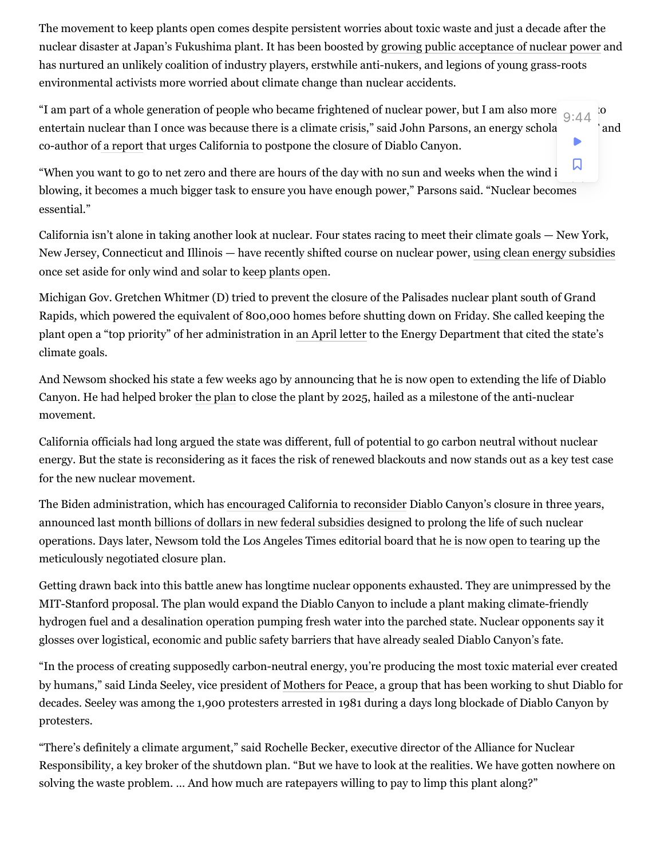The movement to keep plants open comes despite persistent worries about toxic waste and just a decade after the nuclear disaster at Japan's Fukushima plant. It has been boosted by [growing public acceptance of nuclear power](https://www.climateadvocacylab.org/system/files/CAclimatehealthpoll.pdf) and has nurtured an unlikely coalition of industry players, erstwhile anti-nukers, and legions of young grass-roots environmental activists more worried about climate change than nuclear accidents.

"I am part of a whole generation of people who became frightened of nuclear power, but I am also more  $\gtrsim 14$  [0] entertain nuclear than I once was because there is a climate crisis," said John Parsons, an energy scholar and co-author of [a report](https://news.mit.edu/2021/diablo-canyon-nuclear-plant-1108) that urges California to postpone the closure of Diablo Canyon.

"When you want to go to net zero and there are hours of the day with no sun and weeks when the wind i blowing, it becomes a much bigger task to ensure you have enough power," Parsons said. "Nuclear becomes essential."

California isn't alone in taking another look at nuclear. Four states racing to meet their climate goals — New York, New Jersey, Connecticut and Illinois — have recently shifted course on nuclear power, [using clean energy subsidies](https://www.state.nj.us/bpu/newsroom/2021/approved/20210427.html) once set aside for only wind and solar to [keep plants open](https://www.illinois.gov/news/press-release.23893.html).

Michigan Gov. Gretchen Whitmer (D) tried to prevent the closure of the Palisades nuclear plant south of Grand Rapids, which powered the equivalent of 800,000 homes before shutting down on Friday. She called keeping the plant open a "top priority" of her administration in [an April letter](https://www.michigan.gov/whitmer/news/press-releases/2022/04/20/whitmer-calls-for-federal-investment-to-protect-jobs-and-shore-up-energy-needs) to the Energy Department that cited the state's climate goals.

And Newsom shocked his state a few weeks ago by announcing that he is now open to extending the life of Diablo Canyon. He had helped broker [the plan](https://www.washingtonpost.com/business/economy/california-utility-to-close-diablo-canyon-nuclear-power-reactors-by-2025/2016/06/21/8fd13b62-37af-11e6-8f7c-d4c723a2becb_story.html?itid=lk_inline_manual_22) to close the plant by 2025, hailed as a milestone of the anti-nuclear movement.

California officials had long argued the state was different, full of potential to go carbon neutral without nuclear energy. But the state is reconsidering as it faces the risk of renewed blackouts and now stands out as a key test case for the new nuclear movement.

The Biden administration, which has [encouraged California to reconsider](https://www.reuters.com/markets/commodities/us-energy-chief-hints-california-may-grant-reprieve-its-last-nuclear-plant-2021-11-30/) Diablo Canyon's closure in three years, announced last month [billions of dollars in new federal subsidies](https://www.washingtonpost.com/business/2022/04/19/biden-administration-launches-6-billion-nuclear-plant-bailout/?itid=lk_inline_manual_24) designed to prolong the life of such nuclear operations. Days later, Newsom told the Los Angeles Times editorial board that [he is now open to tearing up](https://www.latimes.com/environment/story/2022-04-29/california-promised-to-close-its-last-nuclear-plant-now-newsom-is-reconsidering) the meticulously negotiated closure plan.

Getting drawn back into this battle anew has longtime nuclear opponents exhausted. They are unimpressed by the MIT-Stanford proposal. The plan would expand the Diablo Canyon to include a plant making climate-friendly hydrogen fuel and a desalination operation pumping fresh water into the parched state. Nuclear opponents say it glosses over logistical, economic and public safety barriers that have already sealed Diablo Canyon's fate.

"In the process of creating supposedly carbon-neutral energy, you're producing the most toxic material ever created by humans," said Linda Seeley, vice president of [Mothers for Peace](https://mothersforpeace.org/), a group that has been working to shut Diablo for decades. Seeley was among the 1,900 protesters arrested in 1981 during a days long blockade of Diablo Canyon by protesters.

"There's definitely a climate argument," said Rochelle Becker, executive director of the Alliance for Nuclear Responsibility, a key broker of the shutdown plan. "But we have to look at the realities. We have gotten nowhere on solving the waste problem. … And how much are ratepayers willing to pay to limp this plant along?"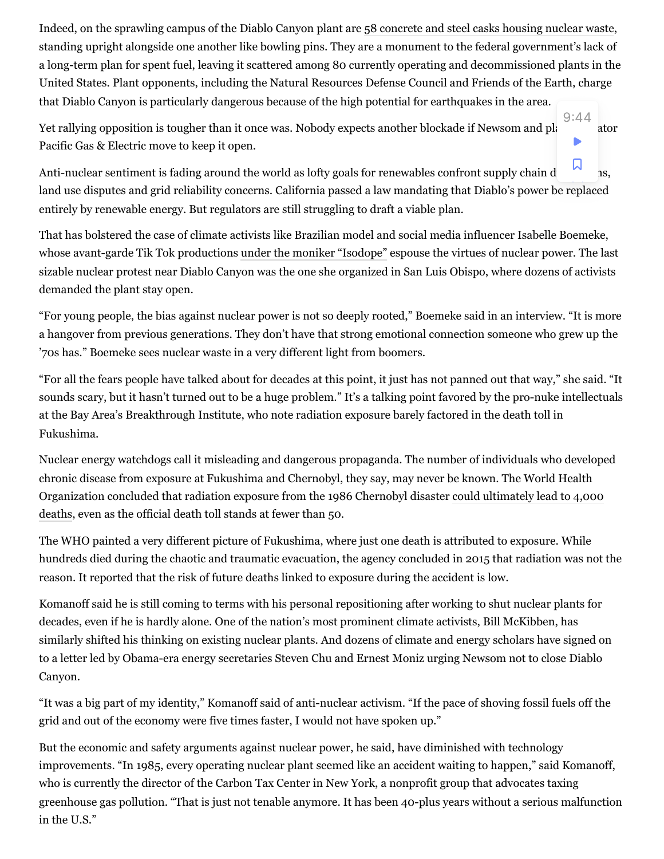Indeed, on the sprawling campus of the Diablo Canyon plant are [58 concrete and steel casks housing nuclear waste](https://diablocanyonpanel.org/decom-topics/spent-fuel-management/), standing upright alongside one another like bowling pins. They are a monument to the federal government's lack of a long-term plan for spent fuel, leaving it scattered among 80 currently operating and decommissioned plants in the United States. Plant opponents, including the Natural Resources Defense Council and Friends of the Earth, charge that Diablo Canyon is particularly dangerous because of the high potential for earthquakes in the area.

Yet rallying opposition is tougher than it once was. Nobody expects another blockade if Newsom and plant operator Pacific Gas & Electric move to keep it open.  $9:44$ 

Anti-nuclear sentiment is fading around the world as lofty goals for renewables confront supply chain disruptions, land use disputes and grid reliability concerns. California passed a law mandating that Diablo's power be replaced entirely by renewable energy. But regulators are still struggling to draft a viable plan.

That has bolstered the case of climate activists like Brazilian model and social media influencer Isabelle Boemeke, whose avant-garde Tik Tok productions [under the moniker "Isodope"](https://i-sodope.com/) espouse the virtues of nuclear power. The last sizable nuclear protest near Diablo Canyon was the one she organized in San Luis Obispo, where dozens of activists demanded the plant stay open.

"For young people, the bias against nuclear power is not so deeply rooted," Boemeke said in an interview. "It is more a hangover from previous generations. They don't have that strong emotional connection someone who grew up the '70s has." Boemeke sees nuclear waste in a very different light from boomers.

"For all the fears people have talked about for decades at this point, it just has not panned out that way," she said. "It sounds scary, but it hasn't turned out to be a huge problem." It's a talking point favored by the pro-nuke intellectuals at the Bay Area's Breakthrough Institute, who note radiation exposure barely factored in the death toll in Fukushima.

Nuclear energy watchdogs call it misleading and dangerous propaganda. The number of individuals who developed chronic disease from exposure at Fukushima and Chernobyl, they say, may never be known. The World Health [Organization concluded that radiation exposure from the 1986 Chernobyl disaster could ultimately lead to 4,000](https://www.who.int/news/item/05-09-2005-chernobyl-the-true-scale-of-the-accident) deaths, even as the official death toll stands at fewer than 50.

The WHO painted a very different picture of Fukushima, where just one death is attributed to exposure. While hundreds died during the chaotic and traumatic evacuation, the agency concluded in 2015 that radiation was not the reason. It reported that the risk of future deaths linked to exposure during the accident is low.

Komanoff said he is still coming to terms with his personal repositioning after working to shut nuclear plants for decades, even if he is hardly alone. One of the nation's most prominent climate activists, Bill McKibben, has similarly shifted his thinking on existing nuclear plants. And dozens of climate and energy scholars have signed on to a letter led by Obama-era energy secretaries Steven Chu and Ernest Moniz urging Newsom not to close Diablo Canyon.

"It was a big part of my identity," Komanoff said of anti-nuclear activism. "If the pace of shoving fossil fuels off the grid and out of the economy were five times faster, I would not have spoken up."

But the economic and safety arguments against nuclear power, he said, have diminished with technology improvements. "In 1985, every operating nuclear plant seemed like an accident waiting to happen," said Komanoff, who is currently the director of the Carbon Tax Center in New York, a nonprofit group that advocates taxing greenhouse gas pollution. "That is just not tenable anymore. It has been 40-plus years without a serious malfunction in the U.S."